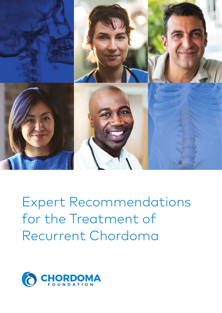

Expert Recommendations for the Treatment of Recurrent Chordoma

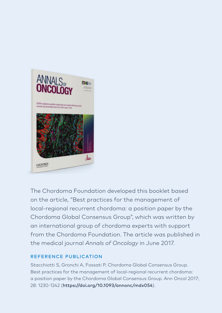

The Chordoma Foundation developed this booklet based on the article, "Best practices for the management of local-regional recurrent chordoma: a position paper by the Chordoma Global Consensus Group", which was written by an international group of chordoma experts with support from the Chordoma Foundation. The article was published in the medical journal *Annals of Oncology* in June 2017.

### REFERENCE PUBLICATION

Stacchiotti S, Gronchi A, Fossati P, Chordoma Global Consensus Group. Best practices for the management of local-regional recurrent chordoma: a position paper by the Chordoma Global Consensus Group. Ann Oncol 2017; 28: 1230-1242 (https://doi.org/10.1093/annonc/mdx054).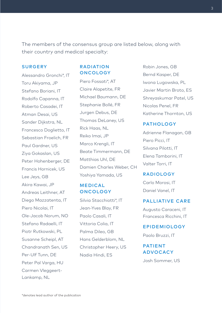The members of the consensus group are listed below, along with their country and medical specialty:

#### **SURGERY**

Alessandro Gronchi\*, IT Toru Akiyama, JP Stefano Boriani, IT Rodolfo Capanna, IT Roberto Casadei, IT Atman Desai, US Sander Dijkstra, NL Francesco Doglietto, IT Sebastian Froelich, FR Paul Gardner, US Ziya Gokaslan, US Peter Hohenberger, DE Francis Hornicek, US Lee Jeys, GB Akira Kawai, JP Andreas Leithner, AT Diego Mazzatenta, IT Piero Nicolai, IT Ole-Jacob Norum, NO Stefano Radaelli, IT Piotr Rutkowski, PL Susanne Scheipl, AT Chandranath Sen, US Per-Ulf Tunn, DE Peter Pal Varga, HU Carmen Vleggeert-Lankamp, NL

#### RADIATION **ONCOLOGY**

Piero Fossati\*, AT Claire Alapetite, FR Michael Baumann, DE Stephanie Bollé, FR Jurgen Debus, DE Thomas DeLaney, US Rick Haas, NL Reiko Imai, JP Marco Krengli, IT Beate Timmermann, DE Matthias Uhl, DE Damien Charles Weber, CH Yoshiya Yamada, US

#### MEDICAL **ONCOLOGY**

Silvia Stacchiotti\*, IT Jean-Yves Blay, FR Paolo Casali, IT Vittoria Colia, IT Palma Dileo, GB Hans Gelderblom, NL Christopher Heery, US Nadia Hindi, ES

Robin Jones, GB Bernd Kasper, DE Iwona Lugowska, PL Javier Martin Broto, ES Shreyaskumar Patel, US Nicolas Penel, FR Katherine Thornton, US

#### PATHOLOGY

Adrienne Flanagan, GB Piero Picci, IT Silvana Pilotti, IT Elena Tamborini, IT Valter Torri, IT

#### RADIOLOGY

Carlo Morosi, IT Daniel Vanel, IT

#### PALLIATIVE CARE

Augusto Caraceni, IT Francesca Ricchini, IT

#### EPIDEMIOLOGY

Paolo Bruzzi, IT

#### PATIENT ADVOCACY

Josh Sommer, US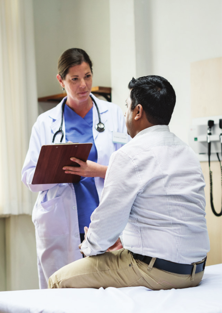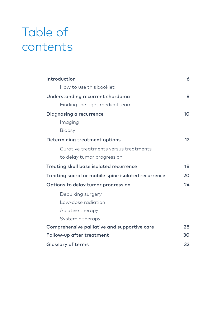# Table of contents

| Introduction                                        | 6                 |
|-----------------------------------------------------|-------------------|
| How to use this booklet                             |                   |
| Understanding recurrent chordoma                    | 8                 |
| Finding the right medical team                      |                   |
| Diagnosing a recurrence                             | 10                |
| Imaging                                             |                   |
| <b>Biopsy</b>                                       |                   |
| Determining treatment options                       | $12 \overline{ }$ |
| Curative treatments versus treatments               |                   |
| to delay tumor progression                          |                   |
| Treating skull base isolated recurrence             | 18                |
| Treating sacral or mobile spine isolated recurrence | 20                |
| Options to delay tumor progression                  | 24                |
| Debulking surgery                                   |                   |
| Low-dose radiation                                  |                   |
| Ablative therapy                                    |                   |
| Systemic therapy                                    |                   |
| Comprehensive palliative and supportive care        | 28                |
| Follow-up after treatment                           | 30                |
| <b>Glossary of terms</b>                            | 32                |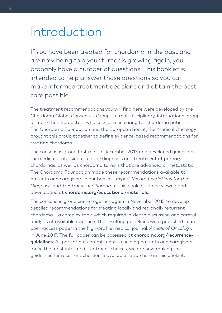## Introduction

If you have been treated for chordoma in the past and are now being told your tumor is growing again, you probably have a number of questions. This booklet is intended to help answer those questions so you can make informed treatment decisions and obtain the best care possible.

The treatment recommendations you will find here were developed by the Chordoma Global Consensus Group – a multidisciplinary, international group of more than 60 doctors who specialize in caring for chordoma patients. The Chordoma Foundation and the European Society for Medical Oncology brought this group together to define evidence-based recommendations for treating chordoma.

The consensus group first met in December 2013 and developed guidelines for medical professionals on the diagnosis and treatment of primary chordomas, as well as chordoma tumors that are advanced or metastatic. The Chordoma Foundation made these recommendations available to patients and caregivers in our booklet, *Expert Recommendations for the Diagnosis and Treatment of Chordoma*. This booklet can be viewed and downloaded at chordoma.org/educational-materials.

The consensus group came together again in November 2015 to develop detailed recommendations for treating locally and regionally recurrent chordoma – a complex topic which required in-depth discussion and careful analysis of available evidence. The resulting guidelines were published in an open-access paper in the high-profile medical journal, *Annals of Oncology,* in June 2017. The full paper can be accessed at chordoma.org/recurrenceguidelines. As part of our commitment to helping patients and caregivers make the most informed treatment choices, we are now making the guidelines for recurrent chordoma available to you here in this booklet.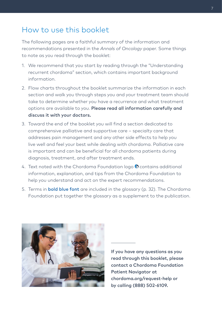### How to use this booklet

The following pages are a faithful summary of the information and recommendations presented in the *Annals of Oncology* paper. Some things to note as you read through the booklet:

- 1. We recommend that you start by reading through the "Understanding recurrent chordoma" section, which contains important background information.
- 2. Flow charts throughout the booklet summarize the information in each section and walk you through steps you and your treatment team should take to determine whether you have a recurrence and what treatment options are available to you. Please read all information carefully and discuss it with your doctors.
- 3. Toward the end of the booklet you will find a section dedicated to comprehensive palliative and supportive care – specialty care that addresses pain management and any other side effects to help you live well and feel your best while dealing with chordoma. Palliative care is important and can be beneficial for all chordoma patients during diagnosis, treatment, and after treatment ends.
- 4. Text noted with the Chordoma Foundation logo  $\odot$  contains additional information, explanation, and tips from the Chordoma Foundation to help you understand and act on the expert recommendations.
- 5. Terms in **bold blue font** are included in the glossary (p. 32). The Chordoma Foundation put together the glossary as a supplement to the publication.



If you have any questions as you read through this booklet, please contact a Chordoma Foundation Patient Navigator at chordoma.org/request-help or by calling (888) 502-6109.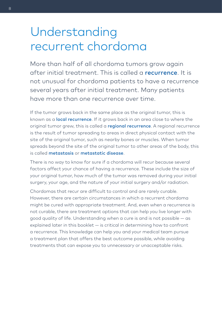# Understanding recurrent chordoma

More than half of all chordoma tumors grow again after initial treatment. This is called a **recurrence**. It is not unusual for chordoma patients to have a recurrence several years after initial treatment. Many patients have more than one recurrence over time.

If the tumor grows back in the same place as the original tumor, this is known as a **local recurrence**. If it grows back in an area close to where the original tumor grew, this is called a regional recurrence. A regional recurrence is the result of tumor spreading to areas in direct physical contact with the site of the original tumor, such as nearby bones or muscles. When tumor spreads beyond the site of the original tumor to other areas of the body, this is called metastasis or metastatic disease.

There is no way to know for sure if a chordoma will recur because several factors affect your chance of having a recurrence. These include the size of your original tumor, how much of the tumor was removed during your initial surgery, your age, and the nature of your initial surgery and/or radiation.

Chordomas that recur are difficult to control and are rarely curable. However, there are certain circumstances in which a recurrent chordoma might be cured with appropriate treatment. And, even when a recurrence is not curable, there are treatment options that can help you live longer with good quality of life. Understanding when a cure is and is not possible — as explained later in this booklet — is critical in determining how to confront a recurrence. This knowledge can help you and your medical team pursue a treatment plan that offers the best outcome possible, while avoiding treatments that can expose you to unnecessary or unacceptable risks.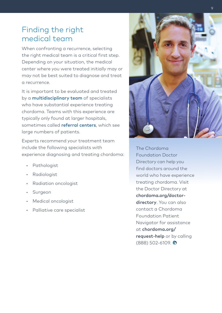## Finding the right medical team

When confronting a recurrence, selecting the right medical team is a critical first step. Depending on your situation, the medical center where you were treated initially may or may not be best suited to diagnose and treat a recurrence.

It is important to be evaluated and treated by a **multidisciplinary team** of specialists who have substantial experience treating chordoma. Teams with this experience are typically only found at larger hospitals, sometimes called referral centers, which see large numbers of patients.

Experts recommend your treatment team include the following specialists with experience diagnosing and treating chordoma:

- Pathologist
- Radiologist
- Radiation oncologist
- Surgeon
- Medical oncologist
- Palliative care specialist



The Chordoma Foundation Doctor Directory can help you find doctors around the world who have experience treating chordoma. Visit the Doctor Directory at chordoma.org/doctordirectory. You can also contact a Chordoma Foundation Patient Navigator for assistance at chordoma.org/ request-help or by calling (888) 502-6109. 0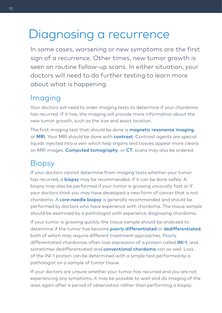# Diagnosing a recurrence

In some cases, worsening or new symptoms are the first sign of a recurrence. Other times, new tumor growth is seen on routine follow-up scans. In either situation, your doctors will need to do further testing to learn more about what is happening.

### Imaging

Your doctors will need to order imaging tests to determine if your chordoma has recurred. If it has, the imaging will provide more information about the new tumor growth, such as the size and exact location.

The first imaging test that should be done is **magnetic resonance imaging**, or MRI. Your MRI should be done with contrast. Contrast agents are special liquids injected into a vein which help organs and tissues appear more clearly on MRI images. Computed tomography, or CT, scans may also be ordered.

## **Biopsy**

If your doctors cannot determine from imaging tests whether your tumor has recurred, a **biopsy** may be recommended, if it can be done safely. A biopsy may also be performed if your tumor is growing unusually fast or if your doctors think you may have developed a new form of cancer that is not chordoma. A **core-needle biopsy** is generally recommended and should be performed by doctors who have experience with chordoma. The tissue sample should be examined by a pathologist with experience diagnosing chordoma.

If your tumor is growing quickly, the tissue sample should be analyzed to determine if the tumor has become poorly differentiated or dedifferentiated, both of which may require different treatment approaches. Poorly differentiated chordomas often lose expression of a protein called INI-1, and sometimes dedifferentiated and **conventional chordoma** can as well. Loss of the INI-1 protein can be determined with a simple test performed by a pathologist on a sample of tumor tissue.

If your doctors are unsure whether your tumor has recurred and you are not experiencing any symptoms, it may be possible to wait and do imaging of the area again after a period of observation rather than performing a biopsy.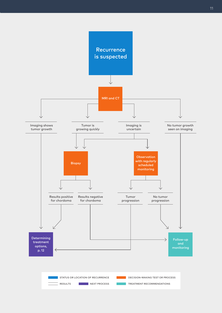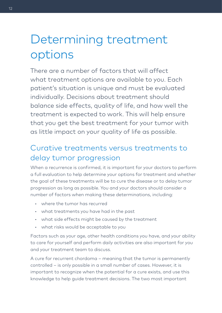# Determining treatment options

There are a number of factors that will affect what treatment options are available to you. Each patient's situation is unique and must be evaluated individually. Decisions about treatment should balance side effects, quality of life, and how well the treatment is expected to work. This will help ensure that you get the best treatment for your tumor with as little impact on your quality of life as possible.

## Curative treatments versus treatments to delay tumor progression

When a recurrence is confirmed, it is important for your doctors to perform a full evaluation to help determine your options for treatment and whether the goal of these treatments will be to cure the disease or to delay tumor progression as long as possible. You and your doctors should consider a number of factors when making these determinations, including:

- where the tumor has recurred
- what treatments you have had in the past
- what side effects might be caused by the treatment
- what risks would be acceptable to you

Factors such as your age, other health conditions you have, and your ability to care for yourself and perform daily activities are also important for you and your treatment team to discuss.

A cure for recurrent chordoma – meaning that the tumor is permanently controlled – is only possible in a small number of cases. However, it is important to recognize when the potential for a cure exists, and use this knowledge to help guide treatment decisions. The two most important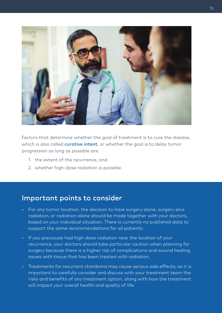

factors that determine whether the goal of treatment is to cure the disease, which is also called **curative intent**, or whether the goal is to delay tumor progression as long as possible are:

- 1. the extent of the recurrence, and
- 2. whether high-dose radiation is possible.

### Important points to consider

- For any tumor location, the decision to have surgery alone, surgery plus radiation, or radiation alone should be made together with your doctors, based on your individual situation. There is currently no published data to support the same recommendations for all patients.
- If you previously had high-dose radiation near the location of your recurrence, your doctors should take particular caution when planning for surgery because there is a higher risk of complications and wound healing issues with tissue that has been treated with radiation.
- Treatments for recurrent chordoma may cause serious side effects, so it is important to carefully consider and discuss with your treatment team the risks and benefits of any treatment option, along with how the treatment will impact your overall health and quality of life.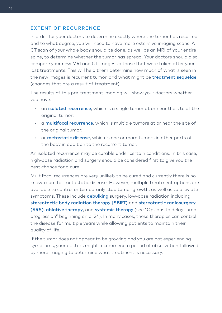#### EXTENT OF RECURRENCE

In order for your doctors to determine exactly where the tumor has recurred and to what degree, you will need to have more extensive imaging scans. A CT scan of your whole body should be done, as well as an MRI of your entire spine, to determine whether the tumor has spread. Your doctors should also compare your new MRI and CT images to those that were taken after your last treatments. This will help them determine how much of what is seen in the new images is recurrent tumor, and what might be **treatment sequelae** (changes that are a result of treatment).

The results of this pre-treatment imaging will show your doctors whether you have:

- an *isolated recurrence*, which is a single tumor at or near the site of the original tumor;
- a multifocal recurrence, which is multiple tumors at or near the site of the original tumor;
- or **metastatic disease**, which is one or more tumors in other parts of the body in addition to the recurrent tumor.

An isolated recurrence may be curable under certain conditions. In this case, high-dose radiation and surgery should be considered first to give you the best chance for a cure.

Multifocal recurrences are very unlikely to be cured and currently there is no known cure for metastatic disease. However, multiple treatment options are available to control or temporarily stop tumor growth, as well as to alleviate symptoms. These include **debulking** surgery, low-dose radiation including stereotactic body radiation therapy (SBRT) and stereotactic radiosurgery (SRS), ablative therapy, and systemic therapy (see "Options to delay tumor progression" beginning on p. 24). In many cases, these therapies can control the disease for multiple years while allowing patients to maintain their quality of life.

If the tumor does not appear to be growing and you are not experiencing symptoms, your doctors might recommend a period of observation followed by more imaging to determine what treatment is necessary.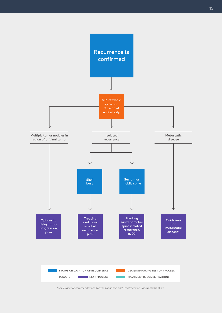

\*See *Expert Recommendations for the Diagnosis and Treatment of Chordoma* booklet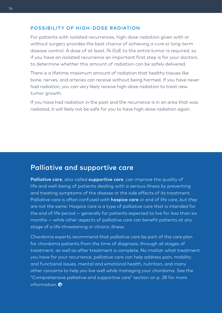#### POSSIBILITY OF HIGH-DOSE RADIATION

For patients with isolated recurrences, high-dose radiation given with or without surgery provides the best chance of achieving a cure or long-term disease control. A dose of at least 74 GyE to the entire tumor is required, so if you have an isolated recurrence an important first step is for your doctors to determine whether this amount of radiation can be safely delivered.

There is a lifetime maximum amount of radiation that healthy tissues like bone, nerves, and arteries can receive without being harmed. If you have never had radiation, you can very likely receive high-dose radiation to treat new tumor growth.

If you have had radiation in the past and the recurrence is in an area that was radiated, it will likely not be safe for you to have high-dose radiation again.

### Palliative and supportive care

Palliative care, also called supportive care, can improve the quality of life and well-being of patients dealing with a serious illness by preventing and treating symptoms of the disease or the side effects of its treatment. Palliative care is often confused with hospice care or end of life care, *but they are not the same*. Hospice care is a type of palliative care that is intended for the end of life period — generally for patients expected to live for less than six months — while other aspects of palliative care can benefit patients at any stage of a life-threatening or chronic illness.

Chordoma experts recommend that palliative care be part of the care plan for chordoma patients from the time of diagnosis, through all stages of treatment, as well as after treatment is complete. No matter what treatment you have for your recurrence, palliative care can help address pain, mobility and functional issues, mental and emotional health, nutrition, and many other concerns to help you live well while managing your chordoma. See the "Comprehensive palliative and supportive care" section on p. 28 for more information.<sup>6</sup>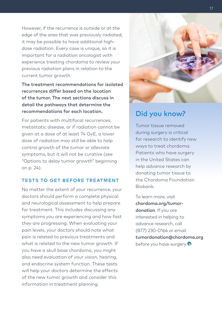However, if the recurrence is outside or at the edge of the area that was previously radiated, it may be possible to have additional highdose radiation. Every case is unique, so it is important for a radiation oncologist with experience treating chordoma to review your previous radiation plans in relation to the current tumor growth.

The treatment recommendations for isolated recurrences differ based on the location of the tumor. The next sections discuss in detail the pathways that determine the recommendations for each location.

For patients with multifocal recurrences, metastatic disease, or if radiation cannot be given at a dose of at least 74 GyE, a lower dose of radiation may still be able to help control growth of the tumor or alleviate symptoms, but it will not be curative (see "Options to delay tumor growth" beginning on p. 24).

#### TESTS TO GET BEFORE TREATMENT

No matter the extent of your recurrence, your doctors should perform a complete physical and neurological assessment to help prepare for treatment. This includes discussing any symptoms you are experiencing and how fast they are progressing. When evaluating your pain levels, your doctors should note what pain is related to previous treatments and what is related to the new tumor growth. If you have a skull base chordoma, you might also need evaluation of your vision, hearing, and endocrine system function. These tests will help your doctors determine the effects of the new tumor growth and consider this information in treatment planning.



### Did you know?

Tumor tissue removed during surgery is critical for research to identify new ways to treat chordoma. Patients who have surgery in the United States can help advance research by donating tumor tissue to the Chordoma Foundation Biobank.

To learn more, visit chordoma.org/tumordonation. If you are interested in helping to advance research, call (877) 230-0164 or email tumordonation@chordoma.org before you have surgery.<sup>1</sup>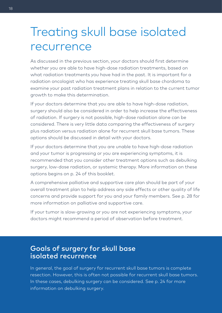## Treating skull base isolated recurrence

As discussed in the previous section, your doctors should first determine whether you are able to have high-dose radiation treatments, based on what radiation treatments you have had in the past. It is important for a radiation oncologist who has experience treating skull base chordoma to examine your past radiation treatment plans in relation to the current tumor growth to make this determination.

If your doctors determine that you are able to have high-dose radiation, surgery should also be considered in order to help increase the effectiveness of radiation. If surgery is not possible, high-dose radiation alone can be considered. There is very little data comparing the effectiveness of surgery plus radiation versus radiation alone for recurrent skull base tumors. These options should be discussed in detail with your doctors.

If your doctors determine that you are unable to have high-dose radiation and your tumor is progressing or you are experiencing symptoms, it is recommended that you consider other treatment options such as debulking surgery, low-dose radiation, or systemic therapy. More information on these options begins on p. 24 of this booklet.

A comprehensive palliative and supportive care plan should be part of your overall treatment plan to help address any side effects or other quality of life concerns and provide support for you and your family members. See p. 28 for more information on palliative and supportive care.

If your tumor is slow-growing or you are not experiencing symptoms, your doctors might recommend a period of observation before treatment.

### Goals of surgery for skull base isolated recurrence

In general, the goal of surgery for recurrent skull base tumors is complete resection. However, this is often not possible for recurrent skull base tumors. In these cases, debulking surgery can be considered. See p. 24 for more information on debulking surgery.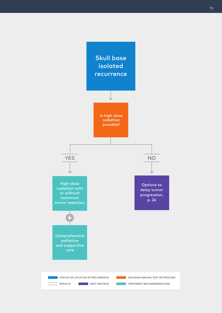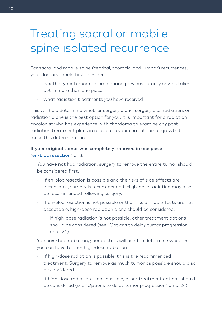# Treating sacral or mobile spine isolated recurrence

For sacral and mobile spine (cervical, thoracic, and lumbar) recurrences, your doctors should first consider:

- whether your tumor ruptured during previous surgery or was taken out in more than one piece
- what radiation treatments you have received

This will help determine whether surgery alone, surgery plus radiation, or radiation alone is the best option for you. It is important for a radiation oncologist who has experience with chordoma to examine any past radiation treatment plans in relation to your current tumor growth to make this determination.

#### If your original tumor was completely removed in one piece (en-bloc resection) and:

You have not had radiation, surgery to remove the entire tumor should be considered first.

- If en-bloc resection is possible and the risks of side effects are acceptable, surgery is recommended. High-dose radiation may also be recommended following surgery.
- If en-bloc resection is not possible or the risks of side effects are not acceptable, high-dose radiation alone should be considered.
	- » If high-dose radiation is not possible, other treatment options should be considered (see "Options to delay tumor progression" on p. 24).

You have had radiation, your doctors will need to determine whether you can have further high-dose radiation.

- If high-dose radiation is possible, this is the recommended treatment. Surgery to remove as much tumor as possible should also be considered.
- If high-dose radiation is not possible, other treatment options should be considered (see "Options to delay tumor progression" on p. 24).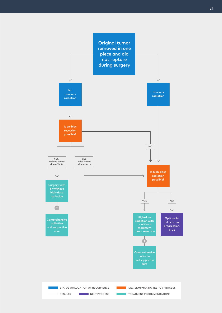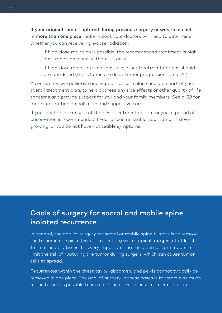If your original tumor ruptured during previous surgery or was taken out in more than one piece (not en-bloc), your doctors will need to determine whether you can receive high-dose radiation.

- If high-dose radiation is possible, the recommended treatment is highdose radiation alone, without surgery.
- If high-dose radiation is not possible, other treatment options should be considered (see "Options to delay tumor progression" on p. 24).

A comprehensive palliative and supportive care plan should be part of your overall treatment plan, to help address any side effects or other quality of life concerns and provide support for you and your family members. See p. 28 for more information on palliative and supportive care.

If your doctors are unsure of the best treatment option for you, a period of observation is recommended if your disease is stable, your tumor is slowgrowing, or you do not have noticeable symptoms.

### Goals of surgery for sacral and mobile spine isolated recurrence

In general, the goal of surgery for sacral or mobile spine tumors is to remove the tumor in one piece (en-bloc resection) with surgical margins of at least 1mm of healthy tissue. It is very important that all attempts are made to limit the risk of rupturing the tumor during surgery, which can cause tumor cells to spread.

Recurrences within the chest cavity, abdomen, and pelvis cannot typically be removed in one piece. The goal of surgery in these cases is to remove as much of the tumor as possible to increase the effectiveness of later radiation.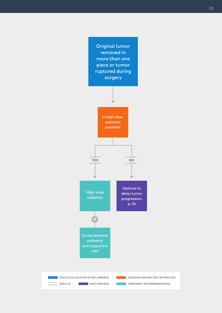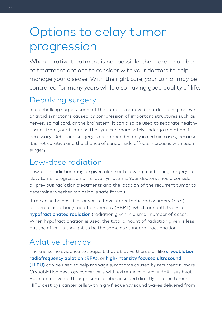# Options to delay tumor progression

When curative treatment is not possible, there are a number of treatment options to consider with your doctors to help manage your disease. With the right care, your tumor may be controlled for many years while also having good quality of life.

## Debulking surgery

In a debulking surgery some of the tumor is removed in order to help relieve or avoid symptoms caused by compression of important structures such as nerves, spinal cord, or the brainstem. It can also be used to separate healthy tissues from your tumor so that you can more safely undergo radiation if necessary. Debulking surgery is recommended only in certain cases, because it is not curative and the chance of serious side effects increases with each surgery.

## Low-dose radiation

Low-dose radiation may be given alone or following a debulking surgery to slow tumor progression or relieve symptoms. Your doctors should consider all previous radiation treatments and the location of the recurrent tumor to determine whether radiation is safe for you.

It may also be possible for you to have stereotactic radiosurgery (SRS) or stereotactic body radiation therapy (SBRT), which are both types of hypofractionated radiation (radiation given in a small number of doses). When hypofractionation is used, the total amount of radiation given is less but the effect is thought to be the same as standard fractionation.

## Ablative therapy

There is some evidence to suggest that ablative therapies like cryoablation, radiofrequency ablation (RFA), or high-intensity focused ultrasound (HIFU) can be used to help manage symptoms caused by recurrent tumors. Cryoablation destroys cancer cells with extreme cold, while RFA uses heat. Both are delivered through small probes inserted directly into the tumor. HIFU destroys cancer cells with high-frequency sound waves delivered from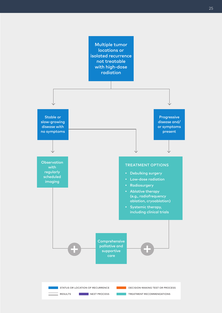Multiple tumor locations or isolated recurrence not treatable with high-dose radiation

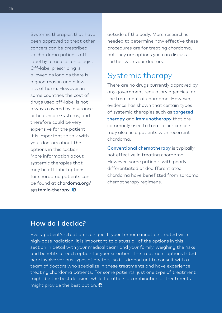Systemic therapies that have been approved to treat other cancers can be prescribed to chordoma patients offlabel by a medical oncologist. Off-label prescribing is allowed as long as there is a good reason and a low risk of harm. However, in some countries the cost of drugs used off-label is not always covered by insurance or healthcare systems, and therefore could be very expensive for the patient. It is important to talk with your doctors about the options in this section. More information about systemic therapies that may be off-label options for chordoma patients can be found at chordoma.org/ systemic-therapy.  $\bullet$ 

outside of the body. More research is needed to determine how effective these procedures are for treating chordoma, but they are options you can discuss further with your doctors.

### Systemic therapy

There are no drugs currently approved by any government regulatory agencies for the treatment of chordoma. However, evidence has shown that certain types of systemic therapies such as targeted therapy and immunotherapy that are commonly used to treat other cancers may also help patients with recurrent chordoma.

Conventional chemotherapy is typically not effective in treating chordoma. However, some patients with poorly differentiated or dedifferentiated chordoma have benefitted from sarcoma chemotherapy regimens.

### How do I decide?

Every patient's situation is unique. If your tumor cannot be treated with high-dose radiation, it is important to discuss all of the options in this section in detail with your medical team and your family, weighing the risks and benefits of each option for your situation. The treatment options listed here involve various types of doctors, so it is important to consult with a team of doctors who specialize in these treatments and have experience treating chordoma patients. For some patients, just one type of treatment might be the best decision, while for others a combination of treatments might provide the best option.  $\bullet$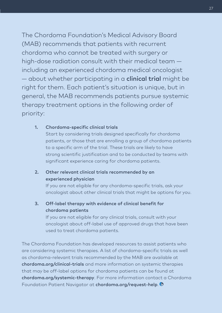The Chordoma Foundation's Medical Advisory Board (MAB) recommends that patients with recurrent chordoma who cannot be treated with surgery or high-dose radiation consult with their medical team including an experienced chordoma medical oncologist — about whether participating in a clinical trial might be right for them. Each patient's situation is unique, but in general, the MAB recommends patients pursue systemic therapy treatment options in the following order of priority:

#### 1. Chordoma-specific clinical trials

Start by considering trials designed specifically for chordoma patients, or those that are enrolling a group of chordoma patients to a specific arm of the trial. These trials are likely to have strong scientific justification and to be conducted by teams with significant experience caring for chordoma patients.

#### 2. Other relevant clinical trials recommended by an experienced physician

If you are not eligible for any chordoma-specific trials, ask your oncologist about other clinical trials that might be options for you.

#### 3. Off-label therapy with evidence of clinical benefit for chordoma patients

If you are not eligible for any clinical trials, consult with your oncologist about off-label use of approved drugs that have been used to treat chordoma patients.

The Chordoma Foundation has developed resources to assist patients who are considering systemic therapies. A list of chordoma-specific trials as well as chordoma-relevant trials recommended by the MAB are available at chordoma.org/clinical-trials and more information on systemic therapies that may be off-label options for chordoma patients can be found at chordoma.org/systemic-therapy. For more information contact a Chordoma Foundation Patient Navigator at chordoma.org/request-help. O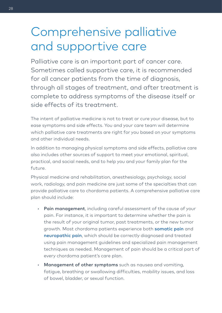# Comprehensive palliative and supportive care

Palliative care is an important part of cancer care. Sometimes called supportive care, it is recommended for all cancer patients from the time of diagnosis, through all stages of treatment, and after treatment is complete to address symptoms of the disease itself or side effects of its treatment.

The intent of palliative medicine is not to treat or cure your disease, but to ease symptoms and side effects. You and your care team will determine which palliative care treatments are right for you based on your symptoms and other individual needs.

In addition to managing physical symptoms and side effects, palliative care also includes other sources of support to meet your emotional, spiritual, practical, and social needs, and to help you and your family plan for the future.

Physical medicine and rehabilitation, anesthesiology, psychology, social work, radiology, and pain medicine are just some of the specialties that can provide palliative care to chordoma patients. A comprehensive palliative care plan should include:

- Pain management, including careful assessment of the cause of your pain. For instance, it is important to determine whether the pain is the result of your original tumor, past treatments, or the new tumor growth. Most chordoma patients experience both **somatic pain** and neuropathic pain, which should be correctly diagnosed and treated using pain management guidelines and specialized pain management techniques as needed. Management of pain should be a critical part of every chordoma patient's care plan.
- Management of other symptoms such as nausea and vomiting, fatigue, breathing or swallowing difficulties, mobility issues, and loss of bowel, bladder, or sexual function.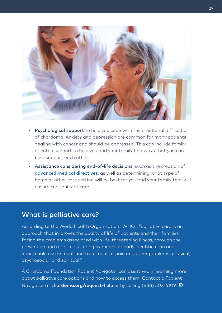

- Psychological support to help you cope with the emotional difficulties of chordoma. Anxiety and depression are common for many patients dealing with cancer and should be addressed. This can include familyoriented support to help you and your family find ways that you can best support each other.
- Assistance considering end-of-life decisions, such as the creation of advanced medical directives, as well as determining what type of home or other care setting will be best for you and your family that will ensure continuity of care.

### What is palliative care?

According to the World Health Organization (WHO), "palliative care is an approach that improves the quality of life of patients and their families facing the problems associated with life-threatening illness, through the prevention and relief of suffering by means of early identification and impeccable assessment and treatment of pain and other problems, physical, psychosocial, and spiritual."

A Chordoma Foundation Patient Navigator can assist you in learning more about palliative care options and how to access them. Contact a Patient Navigator at chordoma.org/request-help or by calling (888) 502-6109.  $\bullet$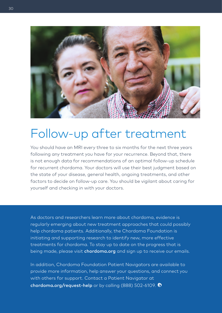

# Follow-up after treatment

You should have an MRI every three to six months for the next three years following any treatment you have for your recurrence. Beyond that, there is not enough data for recommendations of an optimal follow-up schedule for recurrent chordoma. Your doctors will use their best judgment based on the state of your disease, general health, ongoing treatments, and other factors to decide on follow-up care. You should be vigilant about caring for yourself and checking in with your doctors.

As doctors and researchers learn more about chordoma, evidence is regularly emerging about new treatment approaches that could possibly help chordoma patients. Additionally, the Chordoma Foundation is initiating and supporting research to identify new, more effective treatments for chordoma. To stay up to date on the progress that is being made, please visit chordoma.org and sign up to receive our emails.

In addition, Chordoma Foundation Patient Navigators are available to provide more information, help answer your questions, and connect you with others for support. Contact a Patient Navigator at chordoma.org/request-help or by calling (888) 502-6109.  $\bullet$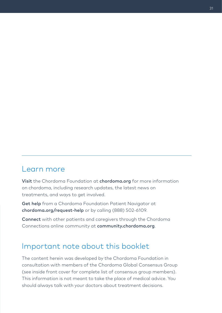## Learn more

Visit the Chordoma Foundation at chordoma.org for more information on chordoma, including research updates, the latest news on treatments, and ways to get involved.

Get help from a Chordoma Foundation Patient Navigator at chordoma.org/request-help or by calling (888) 502-6109.

Connect with other patients and caregivers through the Chordoma Connections online community at community.chordoma.org.

## Important note about this booklet

The content herein was developed by the Chordoma Foundation in consultation with members of the Chordoma Global Consensus Group (see inside front cover for complete list of consensus group members). This information is not meant to take the place of medical advice. You should always talk with your doctors about treatment decisions.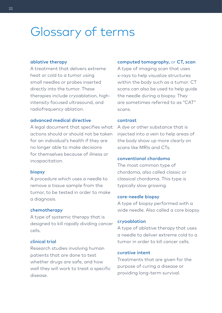## Glossary of terms

#### ablative therapy

A treatment that delivers extreme heat or cold to a tumor using small needles or probes inserted directly into the tumor. These therapies include cryoablation, highintensity focused ultrasound, and radiofrequency ablation.

#### advanced medical directive

A legal document that specifies what actions should or should not be taken for an individual's health if they are no longer able to make decisions for themselves because of illness or incapacitation.

#### biopsy

A procedure which uses a needle to remove a tissue sample from the tumor, to be tested in order to make a diagnosis.

#### chemotherapy

A type of systemic therapy that is designed to kill rapidly dividing cancer cells.

#### clinical trial

Research studies involving human patients that are done to test whether drugs are safe, and how well they will work to treat a specific disease.

#### computed tomography, or CT, scan

A type of imaging scan that uses x-rays to help visualize structures within the body such as a tumor. CT scans can also be used to help guide the needle during a biopsy. They are sometimes referred to as "CAT" scans.

#### contrast

A dye or other substance that is injected into a vein to help areas of the body show up more clearly on scans like MRIs and CTs.

#### conventional chordoma

The most common type of chordoma, also called classic or classical chordoma. This type is typically slow growing.

#### core-needle biopsy

A type of biopsy performed with a wide needle. Also called a core biopsy.

#### cryoablation

A type of ablative therapy that uses a needle to deliver extreme cold to a tumor in order to kill cancer cells.

#### curative intent

Treatments that are given for the purpose of curing a disease or providing long-term survival.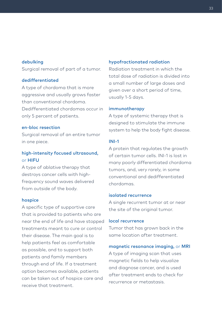#### debulking

Surgical removal of part of a tumor.

#### dedifferentiated

A type of chordoma that is more aggressive and usually grows faster than conventional chordoma. Dedifferentiated chordomas occur in only 5 percent of patients.

#### en-bloc resection

Surgical removal of an entire tumor in one piece.

#### high-intensity focused ultrasound, or HIFU

A type of ablative therapy that destroys cancer cells with highfrequency sound waves delivered from outside of the body.

#### hospice

A specific type of supportive care that is provided to patients who are near the end of life and have stopped treatments meant to cure or control their disease. The main goal is to help patients feel as comfortable as possible, and to support both patients and family members through end of life. If a treatment option becomes available, patients can be taken out of hospice care and receive that treatment.

#### hypofractionated radiation

Radiation treatment in which the total dose of radiation is divided into a small number of large doses and given over a short period of time, usually 1-5 days.

#### immunotherapy

A type of systemic therapy that is designed to stimulate the immune system to help the body fight disease.

#### INI-1

A protein that regulates the growth of certain tumor cells. INI-1 is lost in many poorly differentiated chordoma tumors, and, very rarely, in some conventional and dedifferentiated chordomas.

#### isolated recurrence

A single recurrent tumor at or near the site of the original tumor.

#### local recurrence

Tumor that has grown back in the same location after treatment.

#### magnetic resonance imaging, or MRI

A type of imaging scan that uses magnetic fields to help visualize and diagnose cancer, and is used after treatment ends to check for recurrence or metastasis.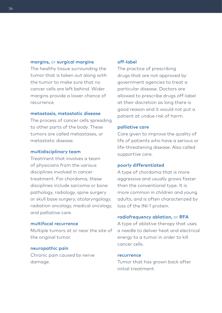#### margins, or surgical margins

The healthy tissue surrounding the tumor that is taken out along with the tumor to make sure that no cancer cells are left behind. Wider margins provide a lower chance of recurrence.

#### metastasis, metastatic disease

The process of cancer cells spreading to other parts of the body. These tumors are called metastases, or metastatic disease.

#### multidisciplinary team

Treatment that involves a team of physicians from the various disciplines involved in cancer treatment. For chordoma, these disciplines include sarcoma or bone pathology, radiology, spine surgery or skull base surgery, otolaryngology, radiation oncology, medical oncology, and palliative care.

#### multifocal recurrence

Multiple tumors at or near the site of the original tumor.

#### neuropathic pain

Chronic pain caused by nerve damage.

#### off-label

The practice of prescribing drugs that are not approved by government agencies to treat a particular disease. Doctors are allowed to prescribe drugs off-label at their discretion as long there is good reason and it would not put a patient at undue risk of harm.

#### palliative care

Care given to improve the quality of life of patients who have a serious or life-threatening disease. Also called supportive care.

#### poorly differentiated

A type of chordoma that is more aggressive and usually grows faster than the conventional type. It is more common in children and young adults, and is often characterized by loss of the INI-1 protein.

#### radiofrequency ablation, or RFA

A type of ablative therapy that uses a needle to deliver heat and electrical energy to a tumor in order to kill cancer cells.

#### recurrence

Tumor that has grown back after initial treatment.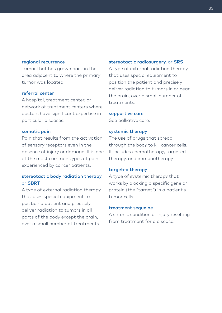#### regional recurrence

Tumor that has grown back in the area adjacent to where the primary tumor was located.

#### referral center

A hospital, treatment center, or network of treatment centers where doctors have significant expertise in particular diseases.

#### somatic pain

Pain that results from the activation of sensory receptors even in the absence of injury or damage. It is one of the most common types of pain experienced by cancer patients.

#### stereotactic body radiation therapy, or SBRT

A type of external radiation therapy that uses special equipment to position a patient and precisely deliver radiation to tumors in all parts of the body except the brain, over a small number of treatments.

#### stereotactic radiosurgery, or SRS

A type of external radiation therapy that uses special equipment to position the patient and precisely deliver radiation to tumors in or near the brain, over a small number of treatments.

#### supportive care

See palliative care.

#### systemic therapy

The use of drugs that spread through the body to kill cancer cells. It includes chemotherapy, targeted therapy, and immunotherapy.

#### targeted therapy

A type of systemic therapy that works by blocking a specific gene or protein (the "target") in a patient's tumor cells.

#### treatment sequelae

A chronic condition or injury resulting from treatment for a disease.